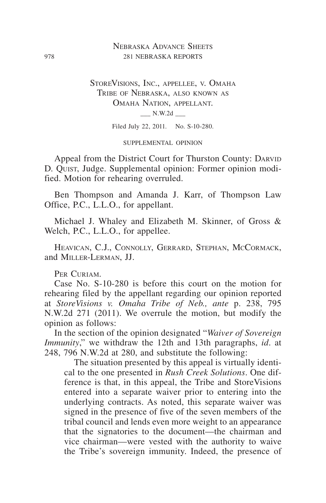## Nebraska Advance Sheets 978 281 NEBRASKA REPORTS

StoreVisions, Inc., appellee, v. Omaha Tribe of Nebraska, also known as Omaha Nation, appellant.  $\_\_$  N.W.2d  $\_\_$ 

Filed July 22, 2011. No. S-10-280.

supplemental opinion

Appeal from the District Court for Thurston County: DARVID D. Quist, Judge. Supplemental opinion: Former opinion modified. Motion for rehearing overruled.

Ben Thompson and Amanda J. Karr, of Thompson Law Office, P.C., L.L.O., for appellant.

Michael J. Whaley and Elizabeth M. Skinner, of Gross & Welch, P.C., L.L.O., for appellee.

Heavican, C.J., Connolly, Gerrard, Stephan, McCormack, and Miller-Lerman, JJ.

PER CURIAM.

Case No. S-10-280 is before this court on the motion for rehearing filed by the appellant regarding our opinion reported at *StoreVisions v. Omaha Tribe of Neb., ante* p. 238, 795 N.W.2d 271 (2011). We overrule the motion, but modify the opinion as follows:

In the section of the opinion designated "*Waiver of Sovereign Immunity*," we withdraw the 12th and 13th paragraphs, *id*. at 248, 796 N.W.2d at 280, and substitute the following:

The situation presented by this appeal is virtually identical to the one presented in *Rush Creek Solutions*. One difference is that, in this appeal, the Tribe and StoreVisions entered into a separate waiver prior to entering into the underlying contracts. As noted, this separate waiver was signed in the presence of five of the seven members of the tribal council and lends even more weight to an appearance that the signatories to the document—the chairman and vice chairman—were vested with the authority to waive the Tribe's sovereign immunity. Indeed, the presence of